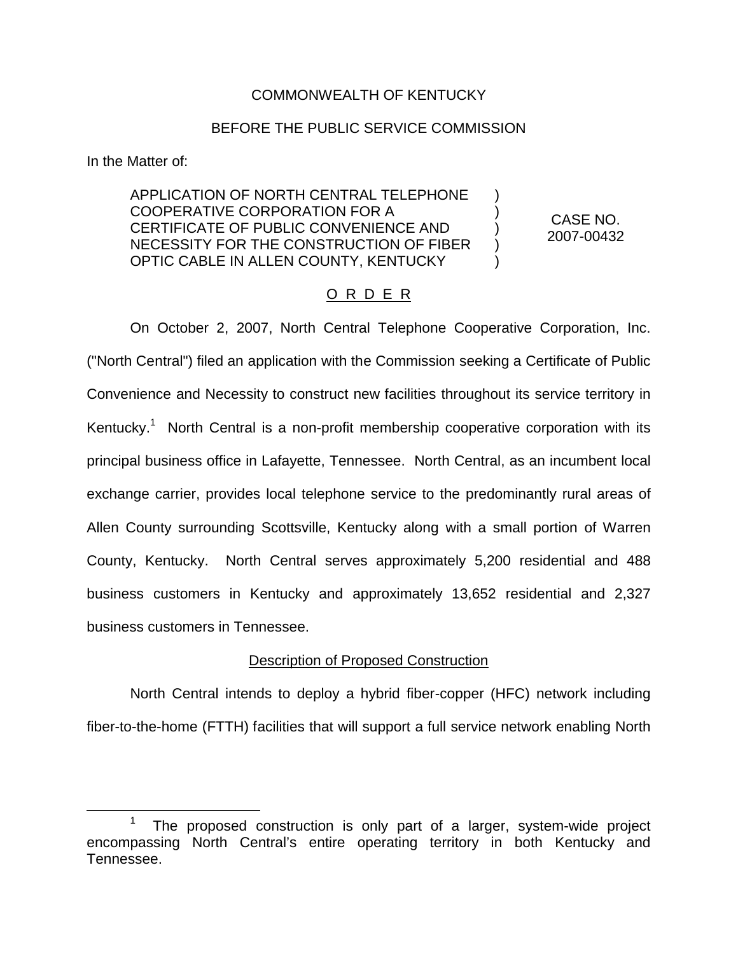## COMMONWEALTH OF KENTUCKY

### BEFORE THE PUBLIC SERVICE COMMISSION

In the Matter of:

APPLICATION OF NORTH CENTRAL TELEPHONE COOPERATIVE CORPORATION FOR A CERTIFICATE OF PUBLIC CONVENIENCE AND NECESSITY FOR THE CONSTRUCTION OF FIBER OPTIC CABLE IN ALLEN COUNTY, KENTUCKY

CASE NO. 2007-00432

) ) ) ) )

## O R D E R

On October 2, 2007, North Central Telephone Cooperative Corporation, Inc. ("North Central") filed an application with the Commission seeking a Certificate of Public Convenience and Necessity to construct new facilities throughout its service territory in Kentucky.<sup>1</sup> North Central is a non-profit membership cooperative corporation with its principal business office in Lafayette, Tennessee. North Central, as an incumbent local exchange carrier, provides local telephone service to the predominantly rural areas of Allen County surrounding Scottsville, Kentucky along with a small portion of Warren County, Kentucky. North Central serves approximately 5,200 residential and 488 business customers in Kentucky and approximately 13,652 residential and 2,327 business customers in Tennessee.

#### Description of Proposed Construction

North Central intends to deploy a hybrid fiber-copper (HFC) network including fiber-to-the-home (FTTH) facilities that will support a full service network enabling North

The proposed construction is only part of a larger, system-wide project encompassing North Central's entire operating territory in both Kentucky and Tennessee.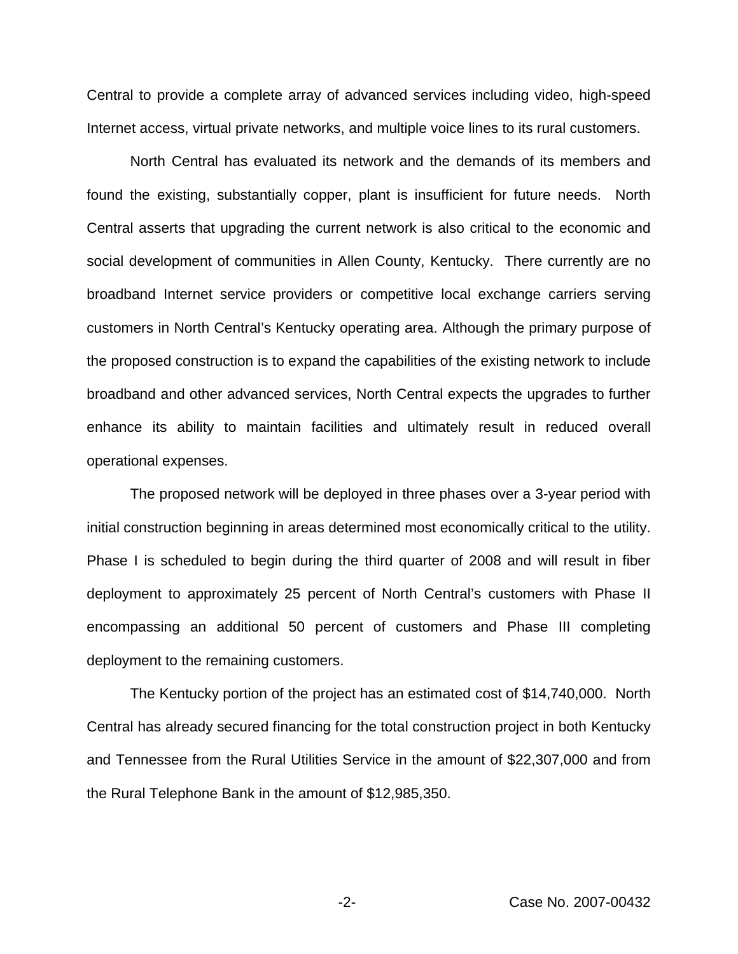Central to provide a complete array of advanced services including video, high-speed Internet access, virtual private networks, and multiple voice lines to its rural customers.

North Central has evaluated its network and the demands of its members and found the existing, substantially copper, plant is insufficient for future needs. North Central asserts that upgrading the current network is also critical to the economic and social development of communities in Allen County, Kentucky. There currently are no broadband Internet service providers or competitive local exchange carriers serving customers in North Central's Kentucky operating area. Although the primary purpose of the proposed construction is to expand the capabilities of the existing network to include broadband and other advanced services, North Central expects the upgrades to further enhance its ability to maintain facilities and ultimately result in reduced overall operational expenses.

The proposed network will be deployed in three phases over a 3-year period with initial construction beginning in areas determined most economically critical to the utility. Phase I is scheduled to begin during the third quarter of 2008 and will result in fiber deployment to approximately 25 percent of North Central's customers with Phase II encompassing an additional 50 percent of customers and Phase III completing deployment to the remaining customers.

The Kentucky portion of the project has an estimated cost of \$14,740,000. North Central has already secured financing for the total construction project in both Kentucky and Tennessee from the Rural Utilities Service in the amount of \$22,307,000 and from the Rural Telephone Bank in the amount of \$12,985,350.

-2- Case No. 2007-00432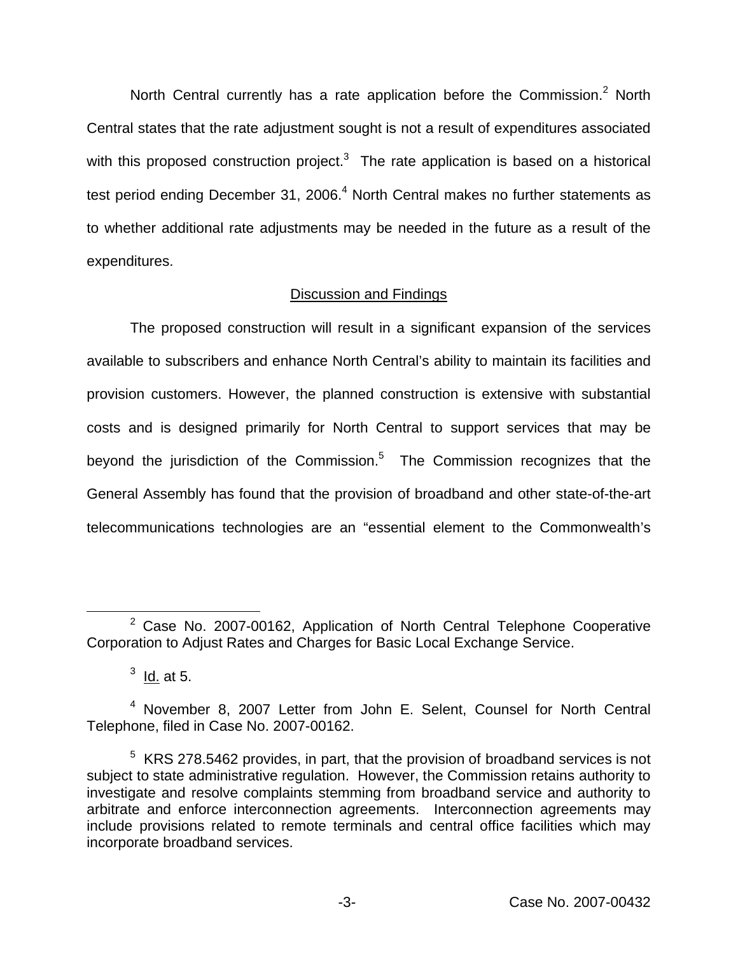North Central currently has a rate application before the Commission.<sup>2</sup> North Central states that the rate adjustment sought is not a result of expenditures associated with this proposed construction project. $3$  The rate application is based on a historical test period ending December 31, 2006.<sup>4</sup> North Central makes no further statements as to whether additional rate adjustments may be needed in the future as a result of the expenditures.

# Discussion and Findings

The proposed construction will result in a significant expansion of the services available to subscribers and enhance North Central's ability to maintain its facilities and provision customers. However, the planned construction is extensive with substantial costs and is designed primarily for North Central to support services that may be beyond the jurisdiction of the Commission. $5$  The Commission recognizes that the General Assembly has found that the provision of broadband and other state-of-the-art telecommunications technologies are an "essential element to the Commonwealth's

 $2$  Case No. 2007-00162, Application of North Central Telephone Cooperative Corporation to Adjust Rates and Charges for Basic Local Exchange Service.

 $3$  Id. at 5.

<sup>4</sup> November 8, 2007 Letter from John E. Selent, Counsel for North Central Telephone, filed in Case No. 2007-00162.

 $5$  KRS 278.5462 provides, in part, that the provision of broadband services is not subject to state administrative regulation. However, the Commission retains authority to investigate and resolve complaints stemming from broadband service and authority to arbitrate and enforce interconnection agreements. Interconnection agreements may include provisions related to remote terminals and central office facilities which may incorporate broadband services.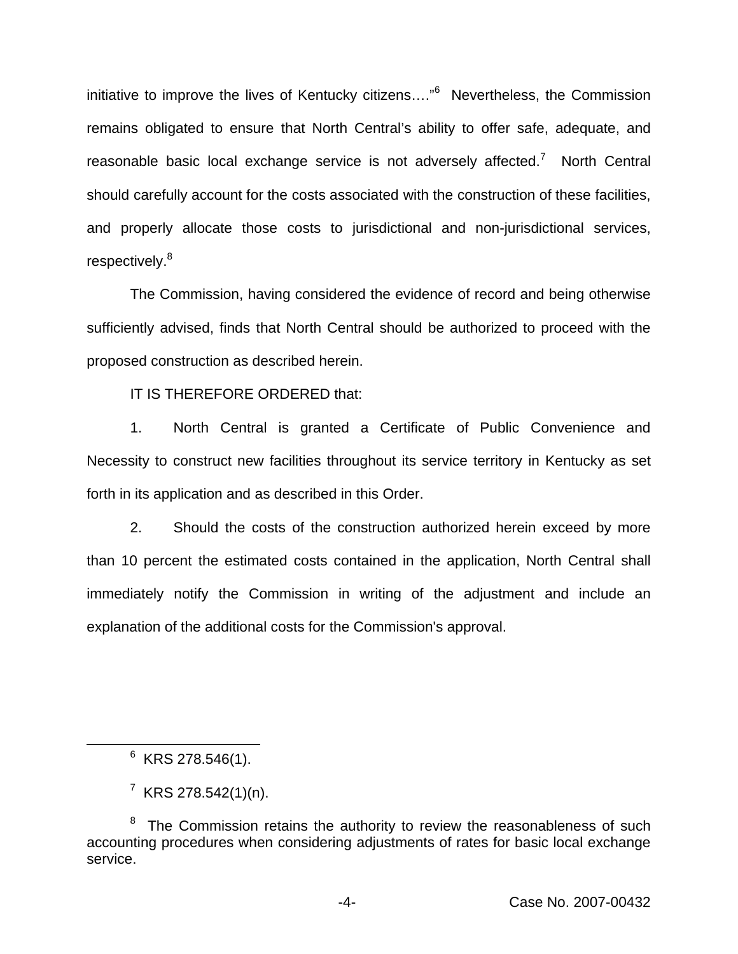initiative to improve the lives of Kentucky citizens…."<sup>6</sup> Nevertheless, the Commission remains obligated to ensure that North Central's ability to offer safe, adequate, and reasonable basic local exchange service is not adversely affected.<sup>7</sup> North Central should carefully account for the costs associated with the construction of these facilities, and properly allocate those costs to jurisdictional and non-jurisdictional services, respectively.<sup>8</sup>

The Commission, having considered the evidence of record and being otherwise sufficiently advised, finds that North Central should be authorized to proceed with the proposed construction as described herein.

IT IS THEREFORE ORDERED that:

1. North Central is granted a Certificate of Public Convenience and Necessity to construct new facilities throughout its service territory in Kentucky as set forth in its application and as described in this Order.

2. Should the costs of the construction authorized herein exceed by more than 10 percent the estimated costs contained in the application, North Central shall immediately notify the Commission in writing of the adjustment and include an explanation of the additional costs for the Commission's approval.

 $6$  KRS 278.546(1).

 $^7$  KRS 278.542(1)(n).

The Commission retains the authority to review the reasonableness of such accounting procedures when considering adjustments of rates for basic local exchange service.